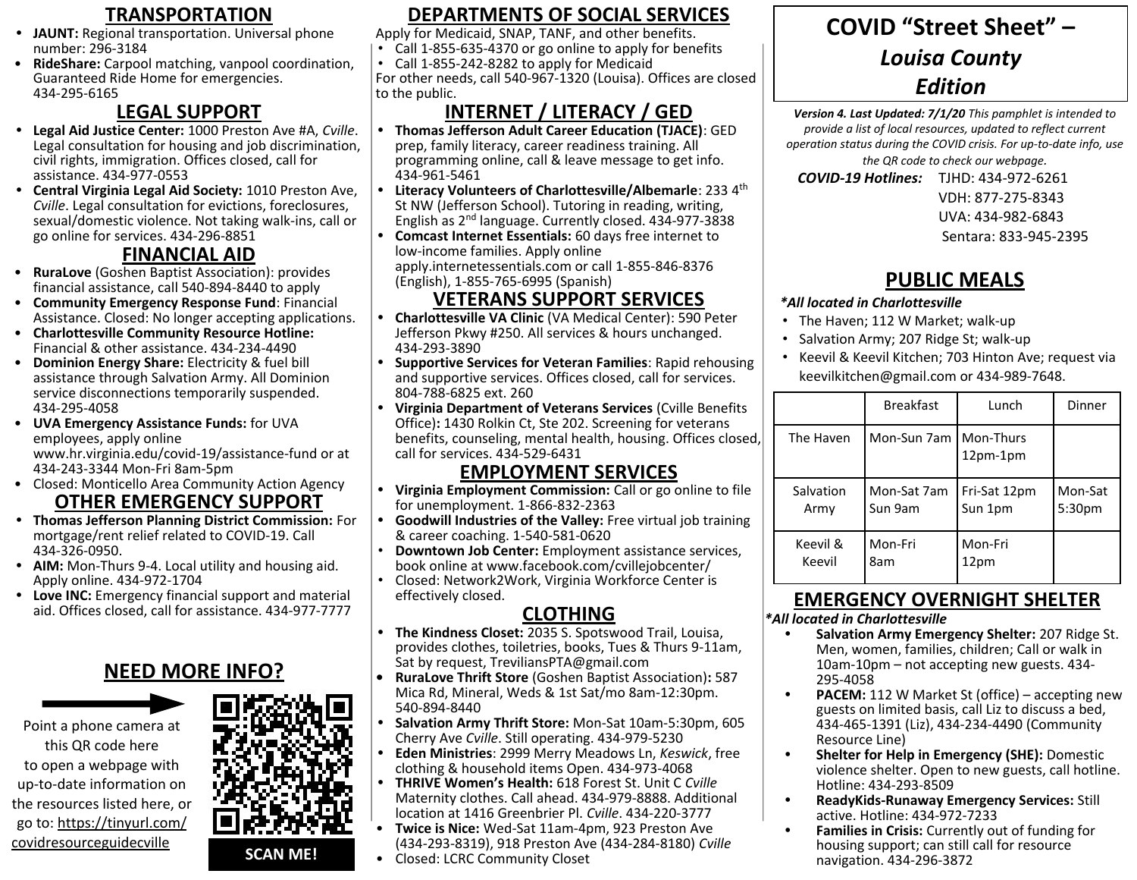- **• JAUNT:** Regional transportation. Universal phone number: 296-3184
- **RideShare:** Carpool matching, vanpool coordination, Guaranteed Ride Home for emergencies. 434-295-6165

## **LEGAL SUPPORT**

- **• Legal Aid Justice Center:** 1000 Preston Ave #A, *Cville*. Legal consultation for housing and job discrimination, civil rights, immigration. Offices closed, call for assistance. 434-977-0553
- **• Central Virginia Legal Aid Society:** 1010 Preston Ave, *Cville*. Legal consultation for evictions, foreclosures, sexual/domestic violence. Not taking walk-ins, call or go online for services. 434-296-8851

# **FINANCIAL AID**

- **RuraLove** (Goshen Baptist Association): provides financial assistance, call 540-894-8440 to apply
- **Community Emergency Response Fund**: Financial Assistance. Closed: No longer accepting applications.
- **Charlottesville Community Resource Hotline:** Financial & other assistance. 434-234-4490
- **Dominion Energy Share:** Electricity & fuel bill assistance through Salvation Army. All Dominion service disconnections temporarily suspended. 434-295-4058
- **UVA Emergency Assistance Funds:** for UVA employees, apply online www.hr.virginia.edu/covid-19/assistance-fund or at

434-243-3344 Mon-Fri 8am-5pm

- Closed: Monticello Area Community Action Agency **OTHER EMERGENCY SUPPORT**
- **• Thomas Jefferson Planning District Commission:** For mortgage/rent relief related to COVID-19. Call 434-326-0950.
- **• AIM:** Mon-Thurs 9-4. Local utility and housing aid. Apply online. 434-972-1704
- **• Love INC:** Emergency financial support and material aid. Offices closed, call for assistance. 434-977-7777

## **NEED MORE INFO?**





#### **TRANSPORTATION DEPARTMENTS OF SOCIAL SERVICES COVID** "Street Sheet" – **DEPARTMENTS OF SOCIAL SERVICES**

Apply for Medicaid, SNAP, TANF, and other benefits.

- Call 1-855-635-4370 or go online to apply for benefits • Call 1-855-242-8282 to apply for Medicaid
- For other needs, call 540-967-1320 (Louisa). Offices are closed to the public.

# **INTERNET / LITERACY / GED**

- **• Thomas Jefferson Adult Career Education (TJACE)**: GED prep, family literacy, career readiness training. All programming online, call & leave message to get info. 434-961-5461
- **Literacy Volunteers of Charlottesville/Albemarle: 233 4<sup>th</sup>** St NW (Jefferson School). Tutoring in reading, writing, English as 2nd language. Currently closed. 434-977-3838
- **• Comcast Internet Essentials:** 60 days free internet to low-income families. Apply online apply.internetessentials.com or call 1-855-846-8376 (English), 1-855-765-6995 (Spanish)

## **VETERANS SUPPORT SERVICES**

- **• Charlottesville VA Clinic** (VA Medical Center): 590 Peter Jefferson Pkwy #250. All services & hours unchanged. 434-293-3890
- **• Supportive Services for Veteran Families**: Rapid rehousing and supportive services. Offices closed, call for services. 804-788-6825 ext. 260
- **• Virginia Department of Veterans Services** (Cville Benefits Office)**:** 1430 Rolkin Ct, Ste 202. Screening for veterans benefits, counseling, mental health, housing. Offices closed, call for services. 434-529-6431

## **EMPLOYMENT SERVICES**

- **• Virginia Employment Commission:** Call or go online to file for unemployment. 1-866-832-2363
- **• Goodwill Industries of the Valley:** Free virtual job training & career coaching. 1-540-581-0620
- **Downtown Job Center:** Employment assistance services, book online at www.facebook.com/cvillejobcenter/
- Closed: Network2Work, Virginia Workforce Center is effectively closed.

# **CLOTHING**

- **• The Kindness Closet:** 2035 S. Spotswood Trail, Louisa, provides clothes, toiletries, books, Tues & Thurs 9-11am, Sat by request, TreviliansPTA@gmail.com
- **• RuraLove Thrift Store** (Goshen Baptist Association)**:** 587 Mica Rd, Mineral, Weds & 1st Sat/mo 8am-12:30pm. 540-894-8440
- **• Salvation Army Thrift Store:** Mon-Sat 10am-5:30pm, 605 Cherry Ave *Cville*. Still operating. 434-979-5230
- **• Eden Ministries**: 2999 Merry Meadows Ln, *Keswick*, free clothing & household items Open. 434-973-4068
- **• THRIVE Women's Health:** 618 Forest St. Unit C *Cville*  Maternity clothes. Call ahead. 434-979-8888. Additional location at 1416 Greenbrier Pl. *Cville*. 434-220-3777
- **Twice is Nice:** Wed-Sat 11am-4pm, 923 Preston Ave (434-293-8319), 918 Preston Ave (434-284-8180) *Cville*
- Closed: LCRC Community Closet

# **COVID "Street Sheet" –**  *Louisa County Edition*

*Version 4. Last Updated: 7/1/20 This pamphlet is intended to provide a list of local resources, updated to reflect current operation status during the COVID crisis. For up-to-date info, use the QR code to check our webpage.* 

 *COVID-19 Hotlines:* TJHD: 434-972-6261

VDH: 877-275-8343

UVA: 434-982-6843

Sentara: 833-945-2395

# **PUBLIC MEALS**

#### *\*All located in Charlottesville*

- The Haven; 112 W Market; walk-up
- Salvation Army; 207 Ridge St; walk-up
- Keevil & Keevil Kitchen; 703 Hinton Ave; request via keevilkitchen@gmail.com or 434-989-7648.

|           | <b>Breakfast</b> | Lunch                            | Dinner  |
|-----------|------------------|----------------------------------|---------|
| The Haven | Mon-Sun 7am      | <b>I</b> Mon-Thurs<br>$12pm-1pm$ |         |
| Salvation | Mon-Sat 7am      | Fri-Sat 12pm                     | Mon-Sat |
| Army      | Sun 9am          | Sun 1pm                          | 5:30pm  |
| Keevil &  | Mon-Fri          | Mon-Fri                          |         |
| Keevil    | 8am              | 12pm                             |         |

## **EMERGENCY OVERNIGHT SHELTER**

*\*All located in Charlottesville*

- **• Salvation Army Emergency Shelter:** 207 Ridge St. Men, women, families, children; Call or walk in 10am-10pm – not accepting new guests. 434- 295-4058
- **• PACEM:** 112 W Market St (office) accepting new guests on limited basis, call Liz to discuss a bed, 434-465-1391 (Liz), 434-234-4490 (Community Resource Line)
- **• Shelter for Help in Emergency (SHE):** Domestic violence shelter. Open to new guests, call hotline. Hotline: 434-293-8509
- **• ReadyKids-Runaway Emergency Services:** Still active. Hotline: 434-972-7233
- **• Families in Crisis:** Currently out of funding for housing support; can still call for resource navigation. 434-296-3872